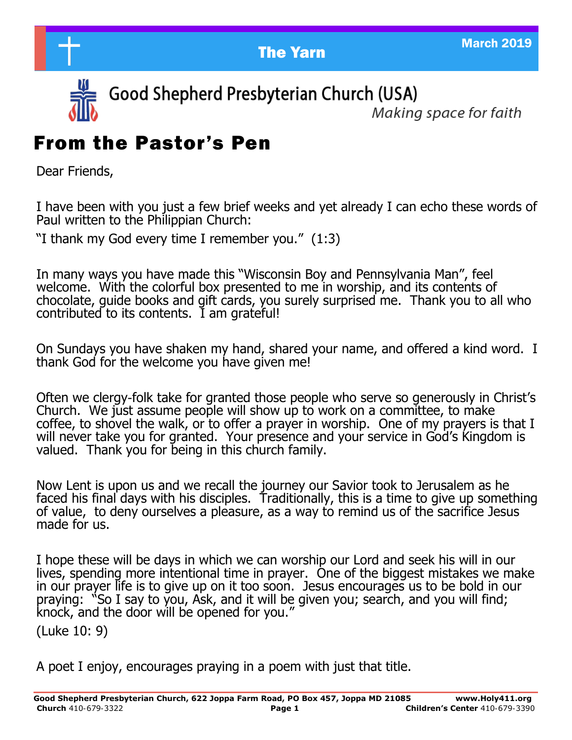**The Yarn March 2019** March 2019



Good Shepherd Presbyterian Church (USA)

Makina space for faith

# From the Pastor's Pen

Dear Friends,

I have been with you just a few brief weeks and yet already I can echo these words of Paul written to the Philippian Church:

"I thank my God every time I remember you." (1:3)

In many ways you have made this "Wisconsin Boy and Pennsylvania Man", feel welcome. With the colorful box presented to me in worship, and its contents of chocolate, guide books and gift cards, you surely surprised me. Thank you to all who contributed to its contents. I am grateful!

On Sundays you have shaken my hand, shared your name, and offered a kind word. I thank God for the welcome you have given me!

Often we clergy-folk take for granted those people who serve so generously in Christ's Church. We just assume people will show up to work on a committee, to make coffee, to shovel the walk, or to offer a prayer in worship. One of my prayers is that I will never take you for granted. Your presence and your service in God's Kingdom is valued. Thank you for being in this church family.

Now Lent is upon us and we recall the journey our Savior took to Jerusalem as he faced his final days with his disciples. Traditionally, this is a time to give up something of value, to deny ourselves a pleasure, as a way to remind us of the sacrifice Jesus made for us.

I hope these will be days in which we can worship our Lord and seek his will in our lives, spending more intentional time in prayer. One of the biggest mistakes we make in our prayer life is to give up on it too soon. Jesus encourages us to be bold in our praying: "So I say to you, Ask, and it will be given you; search, and you will find; knock, and the door will be opened for you."

(Luke 10: 9)

A poet I enjoy, encourages praying in a poem with just that title.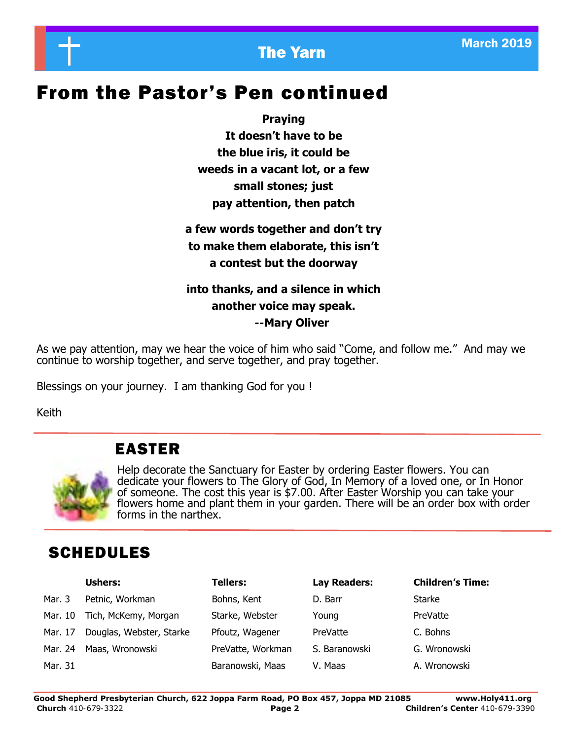

# From the Pastor's Pen continued

**Praying**

**It doesn't have to be the blue iris, it could be weeds in a vacant lot, or a few small stones; just pay attention, then patch**

## **a few words together and don't try to make them elaborate, this isn't a contest but the doorway**

### **into thanks, and a silence in which another voice may speak. --Mary Oliver**

As we pay attention, may we hear the voice of him who said "Come, and follow me." And may we continue to worship together, and serve together, and pray together.

Blessings on your journey. I am thanking God for you !

Keith

## EASTER



Help decorate the Sanctuary for Easter by ordering Easter flowers. You can dedicate your flowers to The Glory of God, In Memory of a loved one, or In Honor of someone. The cost this year is \$7.00. After Easter Worship you can take your flowers home and plant them in your garden. There will be an order box with order forms in the narthex.

# SCHEDULES

|         | <b>Ushers:</b>           | <b>Tellers:</b>   | Lay Readers:  | <b>Children's Time:</b> |
|---------|--------------------------|-------------------|---------------|-------------------------|
| Mar. 3  | Petnic, Workman          | Bohns, Kent       | D. Barr       | Starke                  |
| Mar. 10 | Tich, McKemy, Morgan     | Starke, Webster   | Young         | PreVatte                |
| Mar. 17 | Douglas, Webster, Starke | Pfoutz, Wagener   | PreVatte      | C. Bohns                |
| Mar. 24 | Maas, Wronowski          | PreVatte, Workman | S. Baranowski | G. Wronowski            |
| Mar. 31 |                          | Baranowski, Maas  | V. Maas       | A. Wronowski            |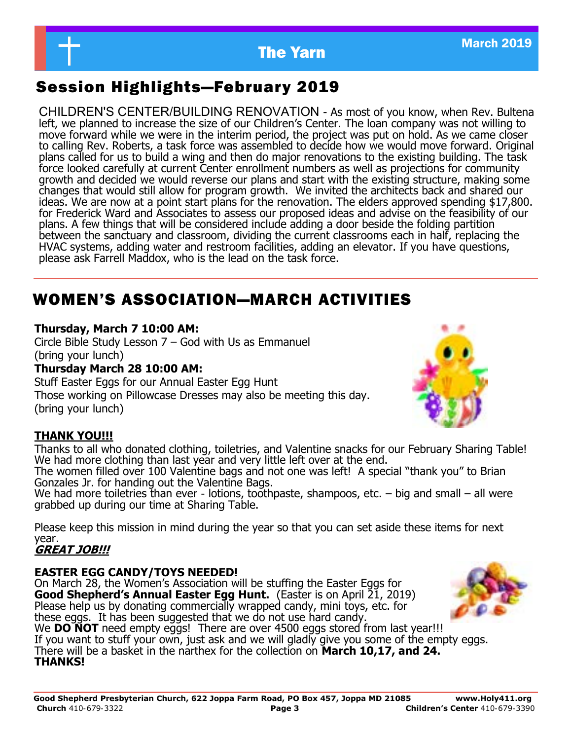

# Session Highlights—February 2019

CHILDREN'S CENTER/BUILDING RENOVATION - As most of you know, when Rev. Bultena left, we planned to increase the size of our Children's Center. The loan company was not willing to move forward while we were in the interim period, the project was put on hold. As we came closer to calling Rev. Roberts, a task force was assembled to decide how we would move forward. Original plans called for us to build a wing and then do major renovations to the existing building. The task force looked carefully at current Center enrollment numbers as well as projections for community growth and decided we would reverse our plans and start with the existing structure, making some changes that would still allow for program growth. We invited the architects back and shared our ideas. We are now at a point start plans for the renovation. The elders approved spending \$17,800. for Frederick Ward and Associates to assess our proposed ideas and advise on the feasibility of our plans. A few things that will be considered include adding a door beside the folding partition between the sanctuary and classroom, dividing the current classrooms each in half, replacing the HVAC systems, adding water and restroom facilities, adding an elevator. If you have questions, please ask Farrell Maddox, who is the lead on the task force.

## WOMEN'S ASSOCIATION—MARCH ACTIVITIES

#### **Thursday, March 7 10:00 AM:**

Circle Bible Study Lesson 7 – God with Us as Emmanuel (bring your lunch)

#### **Thursday March 28 10:00 AM:**

Stuff Easter Eggs for our Annual Easter Egg Hunt Those working on Pillowcase Dresses may also be meeting this day. (bring your lunch)

### **THANK YOU!!!**

Thanks to all who donated clothing, toiletries, and Valentine snacks for our February Sharing Table! We had more clothing than last year and very little left over at the end.

The women filled over 100 Valentine bags and not one was left! A special "thank you" to Brian Gonzales Jr. for handing out the Valentine Bags.

We had more toiletries than ever  $\overline{\phantom{a}}$  lotions, toothpaste, shampoos, etc.  $\overline{\phantom{a}}$  big and small  $\overline{\phantom{a}}$  all were grabbed up during our time at Sharing Table.

Please keep this mission in mind during the year so that you can set aside these items for next year.

## **GREAT JOB!!!**

#### **EASTER EGG CANDY/TOYS NEEDED!**

On March 28, the Women's Association will be stuffing the Easter Eggs for **Good Shepherd's Annual Easter Egg Hunt.** (Easter is on April 21, 2019) Please help us by donating commercially wrapped candy, mini toys, etc. for these eggs. It has been suggested that we do not use hard candy. We **DO NOT** need empty eggs! There are over 4500 eggs stored from last year!!! If you want to stuff your own, just ask and we will gladly give you some of the empty eggs. There will be a basket in the narthex for the collection on **March 10,17, and 24. THANKS!**



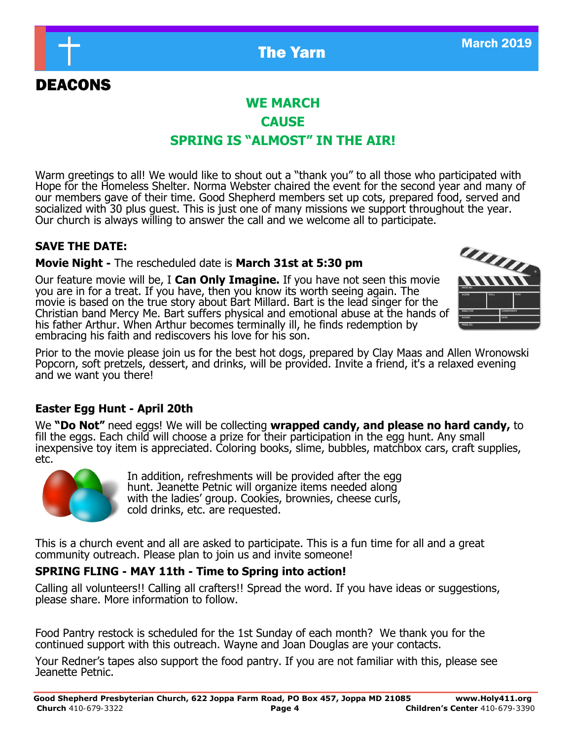

## **WE MARCH CAUSE SPRING IS "ALMOST" IN THE AIR!**

Warm greetings to all! We would like to shout out a "thank you" to all those who participated with Hope for the Homeless Shelter. Norma Webster chaired the event for the second year and many of our members gave of their time. Good Shepherd members set up cots, prepared food, served and socialized with 30 plus guest. This is just one of many missions we support throughout the year. Our church is always willing to answer the call and we welcome all to participate.

### **SAVE THE DATE:**

DEACONS

#### **Movie Night -** The rescheduled date is **March 31st at 5:30 pm**

Our feature movie will be, I **Can Only Imagine.** If you have not seen this movie you are in for a treat. If you have, then you know its worth seeing again. The movie is based on the true story about Bart Millard. Bart is the lead singer for the Christian band Mercy Me. Bart suffers physical and emotional abuse at the hands of his father Arthur. When Arthur becomes terminally ill, he finds redemption by embracing his faith and rediscovers his love for his son.

Prior to the movie please join us for the best hot dogs, prepared by Clay Maas and Allen Wronowski Popcorn, soft pretzels, dessert, and drinks, will be provided. Invite a friend, it's a relaxed evening and we want you there!

### **Easter Egg Hunt - April 20th**

We **"Do Not"** need eggs! We will be collecting **wrapped candy, and please no hard candy,** to fill the eggs. Each child will choose a prize for their participation in the egg hunt. Any small inexpensive toy item is appreciated. Coloring books, slime, bubbles, matchbox cars, craft supplies, etc.



In addition, refreshments will be provided after the egg hunt. Jeanette Petnic will organize items needed along with the ladies' group. Cookies, brownies, cheese curls, cold drinks, etc. are requested.

This is a church event and all are asked to participate. This is a fun time for all and a great community outreach. Please plan to join us and invite someone!

### **SPRING FLING - MAY 11th - Time to Spring into action!**

Calling all volunteers!! Calling all crafters!! Spread the word. If you have ideas or suggestions, please share. More information to follow.

Food Pantry restock is scheduled for the 1st Sunday of each month? We thank you for the continued support with this outreach. Wayne and Joan Douglas are your contacts.

Your Redner's tapes also support the food pantry. If you are not familiar with this, please see Jeanette Petnic.

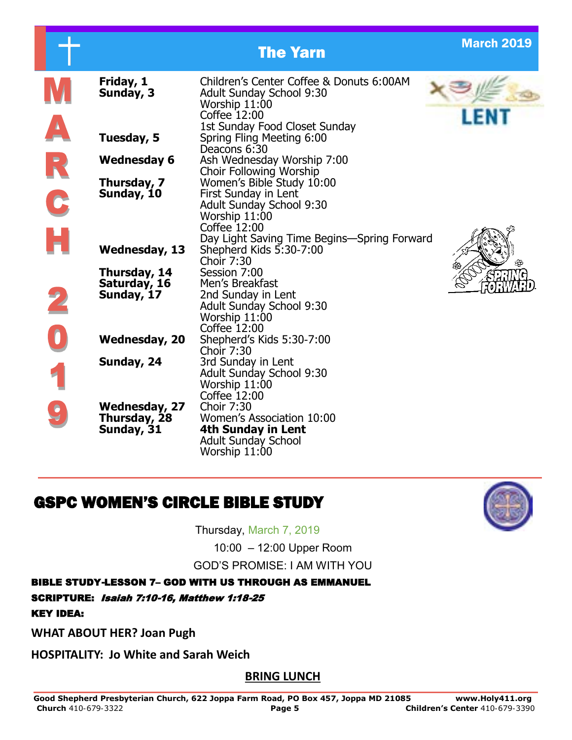|   |                                                    | <b>The Yarn</b>                                                                                                                                                      | <b>March 2019</b> |
|---|----------------------------------------------------|----------------------------------------------------------------------------------------------------------------------------------------------------------------------|-------------------|
|   | Friday, 1<br>Sunday, 3                             | Children's Center Coffee & Donuts 6:00AM<br><b>Adult Sunday School 9:30</b><br>Worship 11:00<br>Coffee 12:00                                                         |                   |
|   | Tuesday, 5                                         | 1st Sunday Food Closet Sunday<br>Spring Fling Meeting 6:00<br>Deacons 6:30                                                                                           |                   |
|   | <b>Wednesday 6</b>                                 | Ash Wednesday Worship 7:00<br>Choir Following Worship                                                                                                                |                   |
| C | Thursday, 7<br>Sunday, 10                          | Women's Bible Study 10:00<br>First Sunday in Lent<br><b>Adult Sunday School 9:30</b><br>Worship 11:00<br>Coffee 12:00<br>Day Light Saving Time Begins-Spring Forward |                   |
|   | <b>Wednesday, 13</b>                               | Shepherd Kids 5:30-7:00<br>Choir 7:30                                                                                                                                |                   |
|   | Thursday, 14<br>Saturday, 16<br>Sunday, 17         | Session 7:00<br>Men's Breakfast<br>2nd Sunday in Lent<br>Adult Sunday School 9:30<br>Worship 11:00                                                                   |                   |
|   | <b>Wednesday, 20</b>                               | Coffee 12:00<br>Shepherd's Kids 5:30-7:00<br>Choir 7:30                                                                                                              |                   |
|   | Sunday, 24                                         | 3rd Sunday in Lent<br><b>Adult Sunday School 9:30</b><br>Worship 11:00<br>Coffee 12:00                                                                               |                   |
|   | <b>Wednesday, 27</b><br>Thursday, 28<br>Sunday, 31 | Choir 7:30<br>Women's Association 10:00<br>4th Sunday in Lent<br><b>Adult Sunday School</b><br>Worship 11:00                                                         |                   |

# GSPC WOMEN'S CIRCLE BIBLE STUDY

Thursday, March 7, 2019

10:00 – 12:00 Upper Room GOD'S PROMISE: I AM WITH YOU

BIBLE STUDY-LESSON 7– GOD WITH US THROUGH AS EMMANUEL

SCRIPTURE: Isaiah 7:10-16, Matthew 1:18-25

KEY IDEA:

**WHAT ABOUT HER? Joan Pugh**

**HOSPITALITY: Jo White and Sarah Weich**

**BRING LUNCH**